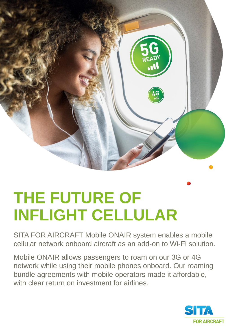

## **THE FUTURE OF INFLIGHT CELLULAR**

SITA FOR AIRCRAFT Mobile ONAIR system enables a mobile cellular network onboard aircraft as an add-on to Wi-Fi solution.

Mobile ONAIR allows passengers to roam on our 3G or 4G network while using their mobile phones onboard. Our roaming bundle agreements with mobile operators made it affordable, with clear return on investment for airlines

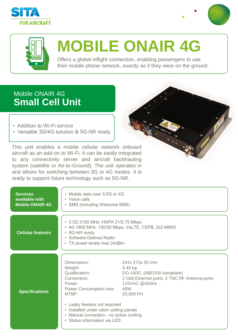





## **MOBILE ONAIR 4G**

Offers a global inflight connection, enabling passengers to use their mobile phone network, exactly as if they were on the ground.

## Mobile ONAIR 4G **Small Cell Unit**

- Addition to Wi-Fi service
- Versatile 3G/4G solution & 5G-NR ready

This unit enables a mobile cellular network onboard aircraft as an add-on to Wi-Fi. It can be easily integrated to any connectivity server and aircraft backhauling system (satellite or Air-to-Ground). The unit operates in and allows for switching between 3G or 4G modes. It is ready to support future technology such as 5G-NR.



| <b>Services</b><br>available with<br><b>Mobile ONAIR 4G</b> | • Mobile data over 3.5G or 4G<br>• Voice calls<br>• SMS (including Welcome SMS)                                                                                                                                                                            |                                                                                                                                                 |
|-------------------------------------------------------------|------------------------------------------------------------------------------------------------------------------------------------------------------------------------------------------------------------------------------------------------------------|-------------------------------------------------------------------------------------------------------------------------------------------------|
| <b>Cellular features</b>                                    | • 3.5G 2100 MHz: HSPA 21/5.75 Mbps<br>• 4G 1800 MHz: 150/50 Mbps, VoLTE, CSFB, 2x2 MIMO<br>• 5G-NR ready<br>• Software Defined Radio<br>• TX power levels max 24dBm                                                                                        |                                                                                                                                                 |
| <b>Specifications</b>                                       | Dimensions:<br>Weight:<br>Qualification:<br>Connectors:<br>Power:<br>Power Consumption max:<br>MTBF:<br>• Leaky feeders not required<br>• Installed under cabin ceiling panels<br>• Natural convection - no active cooling<br>• Status information via LED | 241x 273x 55 mm<br>3.45 kg<br>DO-160G, (ABD100 compliant)<br>2 Gbit Ethernet ports, 2 TNC RF Antenna ports<br>115VAC @400Hz<br>45W<br>20,000 FH |